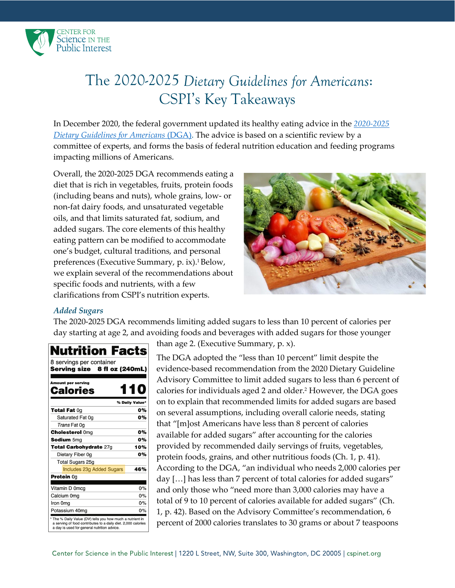

# The 2020-2025 *Dietary Guidelines for Americans*: CSPI's Key Takeaways

In December 2020, the federal government updated its healthy eating advice in the *[2020-2025](https://www.dietaryguidelines.gov/sites/default/files/2020-12/Dietary_Guidelines_for_Americans_2020-2025.pdf)  [Dietary Guidelines for Americans](https://www.dietaryguidelines.gov/sites/default/files/2020-12/Dietary_Guidelines_for_Americans_2020-2025.pdf)* (DGA). The advice is based on a scientific review by a committee of experts, and forms the basis of federal nutrition education and feeding programs impacting millions of Americans.

Overall, the 2020-2025 DGA recommends eating a diet that is rich in vegetables, fruits, protein foods (including beans and nuts), whole grains, low- or non-fat dairy foods, and unsaturated vegetable oils, and that limits saturated fat, sodium, and added sugars. The core elements of this healthy eating pattern can be modified to accommodate one's budget, cultural traditions, and personal preferences (Executive Summary, p. ix).<sup>1</sup> Below, we explain several of the recommendations about specific foods and nutrients, with a few clarifications from CSPI's nutrition experts.



# *Added Sugars*

The 2020-2025 DGA recommends limiting added sugars to less than 10 percent of calories per day starting at age 2, and avoiding foods and beverages with added sugars for those younger

| <b>Nutrition Facts</b>                                                                                                                                                    |     |
|---------------------------------------------------------------------------------------------------------------------------------------------------------------------------|-----|
| 8 servings per container<br>Serving size<br>8 fl oz (240mL)                                                                                                               |     |
| <b>Amount per serving</b><br><b>Calories</b>                                                                                                                              | 110 |
| % Daily Value*                                                                                                                                                            |     |
| <b>Total Fat 0g</b>                                                                                                                                                       | 0%  |
| Saturated Fat 0g                                                                                                                                                          | 0%  |
| Trans Fat 0q                                                                                                                                                              |     |
| <b>Cholesterol Omg</b>                                                                                                                                                    | 0%  |
| <b>Sodium 5mg</b>                                                                                                                                                         | 0%  |
| Total Carbohydrate 27g                                                                                                                                                    | 10% |
| Dietary Fiber 0g                                                                                                                                                          | 0%  |
| <b>Total Sugars 25g</b>                                                                                                                                                   |     |
| <b>Includes 23g Added Sugars</b>                                                                                                                                          | 46% |
| <b>Protein</b> 0g                                                                                                                                                         |     |
| Vitamin D 0mcg                                                                                                                                                            | 0%  |
| Calcium 0mg                                                                                                                                                               | 0%  |
| Iron 0mg                                                                                                                                                                  | 0%  |
| Potassium 40mg                                                                                                                                                            | 0%  |
| * The % Daily Value (DV) tells you how much a nutrient in<br>a serving of food contributes to a daily diet. 2,000 calories<br>a day is used for general nutrition advice. |     |

than age 2. (Executive Summary, p. x).

The DGA adopted the "less than 10 percent" limit despite the evidence-based recommendation from the 2020 Dietary Guideline Advisory Committee to limit added sugars to less than 6 percent of calories for individuals aged 2 and older. <sup>2</sup> However, the DGA goes on to explain that recommended limits for added sugars are based on several assumptions, including overall calorie needs, stating that "[m]ost Americans have less than 8 percent of calories available for added sugars" after accounting for the calories provided by recommended daily servings of fruits, vegetables, protein foods, grains, and other nutritious foods (Ch. 1, p. 41). According to the DGA, "an individual who needs 2,000 calories per day [...] has less than 7 percent of total calories for added sugars" and only those who "need more than 3,000 calories may have a total of 9 to 10 percent of calories available for added sugars" (Ch. 1, p. 42). Based on the Advisory Committee's recommendation, 6 percent of 2000 calories translates to 30 grams or about 7 teaspoons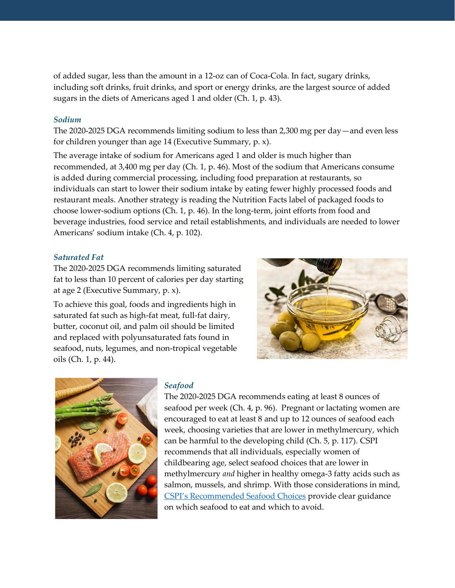of added sugar, less than the amount in a 12-oz can of Coca-Cola. In fact, sugary drinks, including soft drinks, fruit drinks, and sport or energy drinks, are the largest source of added sugars in the diets of Americans aged 1 and older (Ch. 1, p. 43).

#### *Sodium*

The 2020-2025 DGA recommends limiting sodium to less than 2,300 mg per day—and even less for children younger than age 14 (Executive Summary, p. x).

The average intake of sodium for Americans aged 1 and older is much higher than recommended, at 3,400 mg per day (Ch. 1, p. 46). Most of the sodium that Americans consume is added during commercial processing, including food preparation at restaurants, so individuals can start to lower their sodium intake by eating fewer highly processed foods and restaurant meals. Another strategy is reading the Nutrition Facts label of packaged foods to choose lower-sodium options (Ch. 1, p. 46). In the long-term, joint efforts from food and beverage industries, food service and retail establishments, and individuals are needed to lower Americans' sodium intake (Ch. 4, p. 102).

## *Saturated Fat*

The 2020-2025 DGA recommends limiting saturated fat to less than 10 percent of calories per day starting at age 2 (Executive Summary, p. x).

To achieve this goal, foods and ingredients high in saturated fat such as high-fat meat, full-fat dairy, butter, coconut oil, and palm oil should be limited and replaced with polyunsaturated fats found in seafood, nuts, legumes, and non-tropical vegetable oils (Ch. 1, p. 44).





#### *Seafood*

The 2020-2025 DGA recommends eating at least 8 ounces of seafood per week (Ch. 4, p. 96). Pregnant or lactating women are encouraged to eat at least 8 and up to 12 ounces of seafood each week, choosing varieties that are lower in methylmercury, which can be harmful to the developing child (Ch. 5, p. 117). CSPI recommends that all individuals, especially women of childbearing age, select seafood choices that are lower in methylmercury *and* higher in healthy omega-3 fatty acids such as salmon, mussels, and shrimp. With those considerations in mind, [CSPI's Recommended Seafood Choi](https://cspinet.org/resource/cspis-recommended-seafood-choices)ces provide clear guidance on which seafood to eat and which to avoid.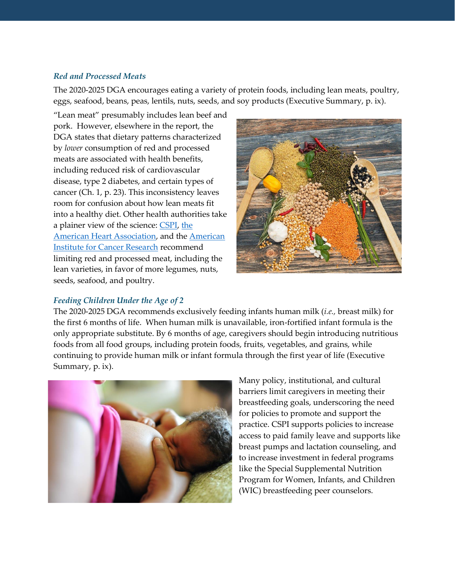## *Red and Processed Meats*

The 2020-2025 DGA encourages eating a variety of protein foods, including lean meats, poultry, eggs, seafood, beans, peas, lentils, nuts, seeds, and soy products (Executive Summary, p. ix).

"Lean meat" presumably includes lean beef and pork. However, elsewhere in the report, the DGA states that dietary patterns characterized by *lower* consumption of red and processed meats are associated with health benefits, including reduced risk of cardiovascular disease, type 2 diabetes, and certain types of cancer (Ch. 1, p. 23). This inconsistency leaves room for confusion about how lean meats fit into a healthy diet. Other health authorities take a plainer view of the science[: CSPI,](https://cspinet.org/eating-healthy/foods-avoid/big-fat-myths) [the](https://www.heart.org/en/healthy-living/healthy-eating/eat-smart/nutrition-basics/meat-poultry-and-fish-picking-healthy-proteins)  [American Heart Association,](https://www.heart.org/en/healthy-living/healthy-eating/eat-smart/nutrition-basics/meat-poultry-and-fish-picking-healthy-proteins) and the [American](https://www.aicr.org/cancer-prevention/food-facts/red-meat-beef-pork-lamb/)  [Institute for Cancer Research](https://www.aicr.org/cancer-prevention/food-facts/red-meat-beef-pork-lamb/) recommend limiting red and processed meat, including the lean varieties, in favor of more legumes, nuts, seeds, seafood, and poultry.



# *Feeding Children Under the Age of 2*

The 2020-2025 DGA recommends exclusively feeding infants human milk (*i.e.,* breast milk) for the first 6 months of life. When human milk is unavailable, iron-fortified infant formula is the only appropriate substitute. By 6 months of age, caregivers should begin introducing nutritious foods from all food groups, including protein foods, fruits, vegetables, and grains, while continuing to provide human milk or infant formula through the first year of life (Executive Summary, p. ix).



Many policy, institutional, and cultural barriers limit caregivers in meeting their breastfeeding goals, underscoring the need for policies to promote and support the practice. CSPI supports policies to increase access to paid family leave and supports like breast pumps and lactation counseling, and to increase investment in federal programs like the Special Supplemental Nutrition Program for Women, Infants, and Children (WIC) breastfeeding peer counselors.